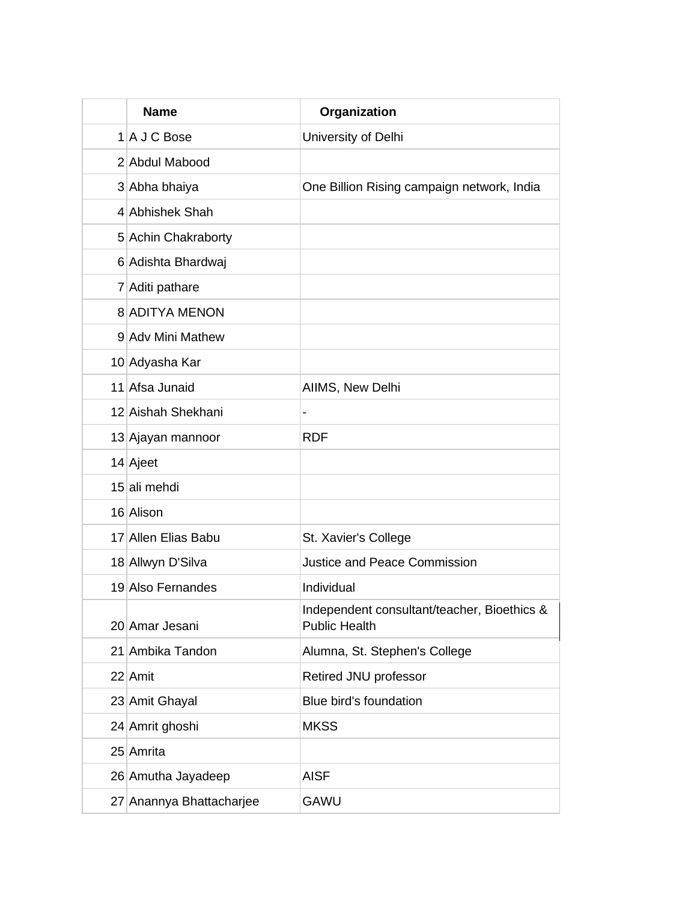| <b>Name</b>              | Organization                                                        |
|--------------------------|---------------------------------------------------------------------|
| 1 A J C Bose             | University of Delhi                                                 |
| 2 Abdul Mabood           |                                                                     |
| 3 Abha bhaiya            | One Billion Rising campaign network, India                          |
| 4 Abhishek Shah          |                                                                     |
| 5 Achin Chakraborty      |                                                                     |
| 6 Adishta Bhardwaj       |                                                                     |
| 7 Aditi pathare          |                                                                     |
| 8 ADITYA MENON           |                                                                     |
| 9 Adv Mini Mathew        |                                                                     |
| 10 Adyasha Kar           |                                                                     |
| 11 Afsa Junaid           | AIIMS, New Delhi                                                    |
| 12 Aishah Shekhani       |                                                                     |
| 13 Ajayan mannoor        | <b>RDF</b>                                                          |
| 14 Ajeet                 |                                                                     |
| 15 ali mehdi             |                                                                     |
| 16 Alison                |                                                                     |
| 17 Allen Elias Babu      | St. Xavier's College                                                |
| 18 Allwyn D'Silva        | <b>Justice and Peace Commission</b>                                 |
| 19 Also Fernandes        | Individual                                                          |
| 20 Amar Jesani           | Independent consultant/teacher, Bioethics &<br><b>Public Health</b> |
| 21 Ambika Tandon         | Alumna, St. Stephen's College                                       |
| 22 Amit                  | Retired JNU professor                                               |
| 23 Amit Ghayal           | Blue bird's foundation                                              |
| 24 Amrit ghoshi          | <b>MKSS</b>                                                         |
| 25 Amrita                |                                                                     |
| 26 Amutha Jayadeep       | <b>AISF</b>                                                         |
| 27 Anannya Bhattacharjee | <b>GAWU</b>                                                         |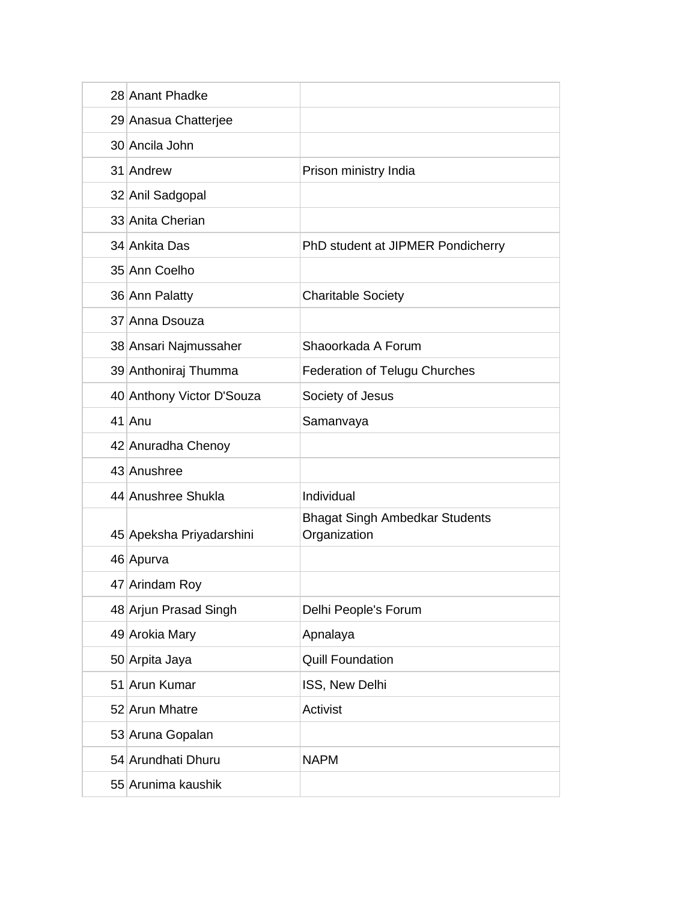| 28 Anant Phadke           |                                                       |
|---------------------------|-------------------------------------------------------|
| 29 Anasua Chatterjee      |                                                       |
| 30 Ancila John            |                                                       |
| 31 Andrew                 | Prison ministry India                                 |
| 32 Anil Sadgopal          |                                                       |
| 33 Anita Cherian          |                                                       |
| 34 Ankita Das             | PhD student at JIPMER Pondicherry                     |
| 35 Ann Coelho             |                                                       |
| 36 Ann Palatty            | <b>Charitable Society</b>                             |
| 37 Anna Dsouza            |                                                       |
| 38 Ansari Najmussaher     | Shaoorkada A Forum                                    |
| 39 Anthoniraj Thumma      | <b>Federation of Telugu Churches</b>                  |
| 40 Anthony Victor D'Souza | Society of Jesus                                      |
| 41 Anu                    | Samanvaya                                             |
| 42 Anuradha Chenoy        |                                                       |
| 43 Anushree               |                                                       |
| 44 Anushree Shukla        | Individual                                            |
| 45 Apeksha Priyadarshini  | <b>Bhagat Singh Ambedkar Students</b><br>Organization |
| 46 Apurva                 |                                                       |
| 47 Arindam Roy            |                                                       |
| 48 Arjun Prasad Singh     | Delhi People's Forum                                  |
| 49 Arokia Mary            | Apnalaya                                              |
| 50 Arpita Jaya            | <b>Quill Foundation</b>                               |
| 51 Arun Kumar             | ISS, New Delhi                                        |
| 52 Arun Mhatre            | Activist                                              |
| 53 Aruna Gopalan          |                                                       |
| 54 Arundhati Dhuru        | <b>NAPM</b>                                           |
| 55 Arunima kaushik        |                                                       |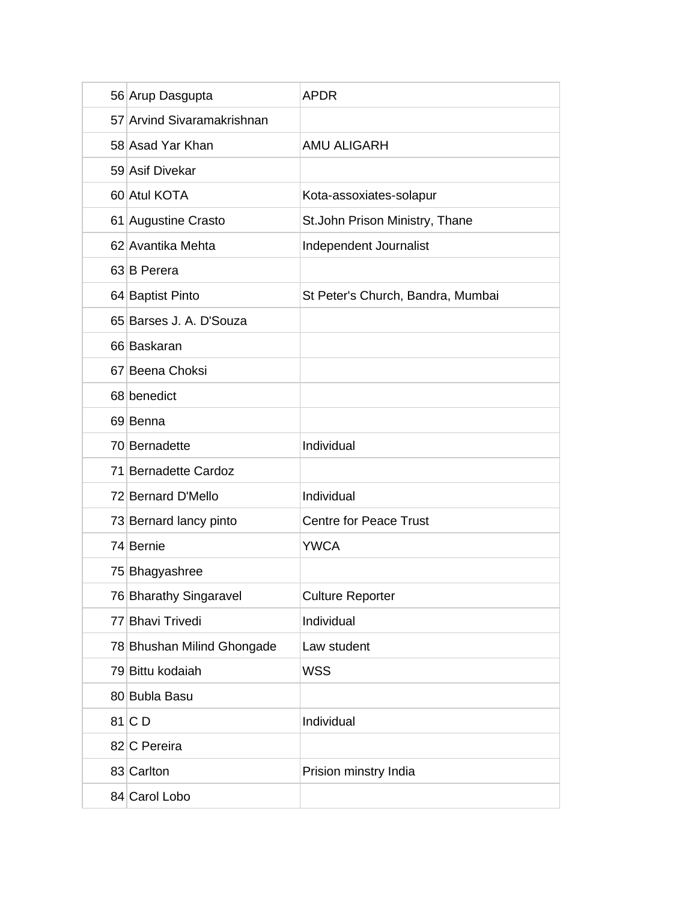| 56 Arup Dasgupta           | <b>APDR</b>                       |
|----------------------------|-----------------------------------|
| 57 Arvind Sivaramakrishnan |                                   |
| 58 Asad Yar Khan           | <b>AMU ALIGARH</b>                |
| 59 Asif Divekar            |                                   |
| 60 Atul KOTA               | Kota-assoxiates-solapur           |
| 61 Augustine Crasto        | St.John Prison Ministry, Thane    |
| 62 Avantika Mehta          | Independent Journalist            |
| 63 B Perera                |                                   |
| 64 Baptist Pinto           | St Peter's Church, Bandra, Mumbai |
| 65 Barses J. A. D'Souza    |                                   |
| 66 Baskaran                |                                   |
| 67 Beena Choksi            |                                   |
| 68 benedict                |                                   |
| 69 Benna                   |                                   |
| 70 Bernadette              | Individual                        |
| 71 Bernadette Cardoz       |                                   |
| 72 Bernard D'Mello         | Individual                        |
| 73 Bernard lancy pinto     | <b>Centre for Peace Trust</b>     |
| 74 Bernie                  | <b>YWCA</b>                       |
| 75 Bhagyashree             |                                   |
| 76 Bharathy Singaravel     | <b>Culture Reporter</b>           |
| 77 Bhavi Trivedi           | Individual                        |
| 78 Bhushan Milind Ghongade | Law student                       |
| 79 Bittu kodaiah           | <b>WSS</b>                        |
| 80 Bubla Basu              |                                   |
| $81$ C D                   | Individual                        |
| 82 C Pereira               |                                   |
| 83 Carlton                 | Prision minstry India             |
| 84 Carol Lobo              |                                   |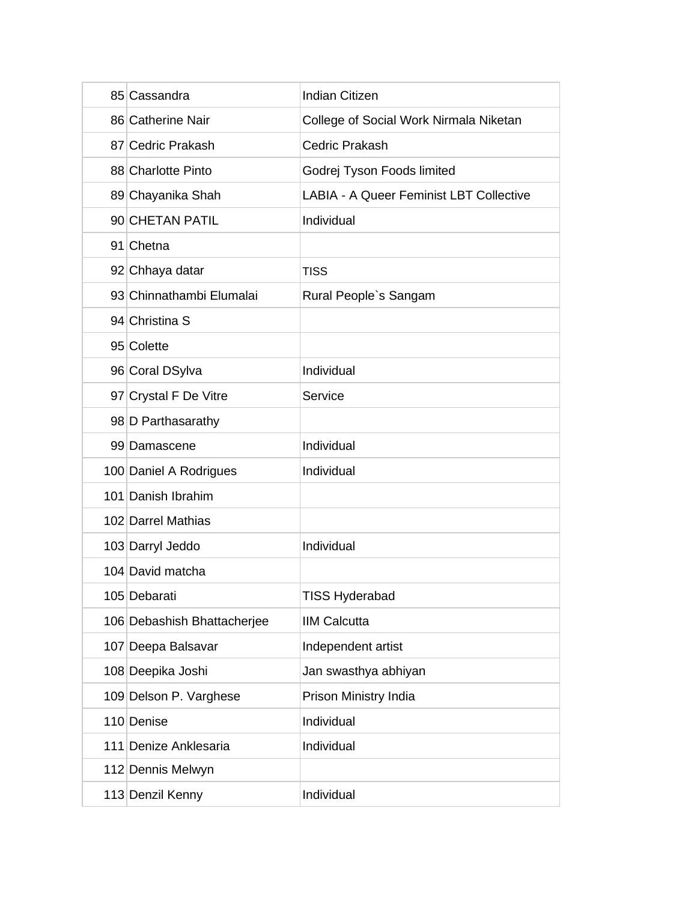| 85 Cassandra                | <b>Indian Citizen</b>                          |
|-----------------------------|------------------------------------------------|
| 86 Catherine Nair           | College of Social Work Nirmala Niketan         |
| 87 Cedric Prakash           | <b>Cedric Prakash</b>                          |
| 88 Charlotte Pinto          | Godrej Tyson Foods limited                     |
| 89 Chayanika Shah           | <b>LABIA - A Queer Feminist LBT Collective</b> |
| 90 CHETAN PATIL             | Individual                                     |
| 91 Chetna                   |                                                |
| 92 Chhaya datar             | <b>TISS</b>                                    |
| 93 Chinnathambi Elumalai    | Rural People's Sangam                          |
| 94 Christina S              |                                                |
| 95 Colette                  |                                                |
| 96 Coral DSylva             | Individual                                     |
| 97 Crystal F De Vitre       | Service                                        |
| 98 D Parthasarathy          |                                                |
| 99 Damascene                | Individual                                     |
| 100 Daniel A Rodrigues      | Individual                                     |
| 101 Danish Ibrahim          |                                                |
| 102 Darrel Mathias          |                                                |
| 103 Darryl Jeddo            | Individual                                     |
| 104 David matcha            |                                                |
| 105 Debarati                | TISS Hyderabad                                 |
| 106 Debashish Bhattacherjee | <b>IIM Calcutta</b>                            |
| 107 Deepa Balsavar          | Independent artist                             |
| 108 Deepika Joshi           | Jan swasthya abhiyan                           |
| 109 Delson P. Varghese      | Prison Ministry India                          |
| 110 Denise                  | Individual                                     |
| 111 Denize Anklesaria       | Individual                                     |
| 112 Dennis Melwyn           |                                                |
| 113 Denzil Kenny            | Individual                                     |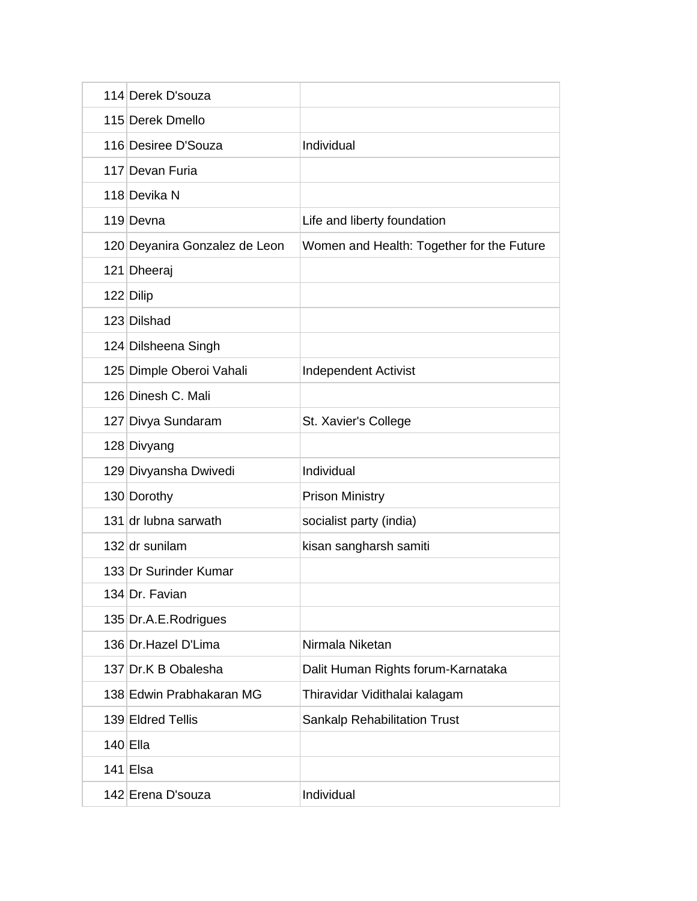| 114 Derek D'souza             |                                           |
|-------------------------------|-------------------------------------------|
| 115 Derek Dmello              |                                           |
| 116 Desiree D'Souza           | Individual                                |
| 117 Devan Furia               |                                           |
| 118 Devika N                  |                                           |
| 119 Devna                     | Life and liberty foundation               |
| 120 Deyanira Gonzalez de Leon | Women and Health: Together for the Future |
| 121 Dheeraj                   |                                           |
| 122 Dilip                     |                                           |
| 123 Dilshad                   |                                           |
| 124 Dilsheena Singh           |                                           |
| 125 Dimple Oberoi Vahali      | <b>Independent Activist</b>               |
| 126 Dinesh C. Mali            |                                           |
| 127 Divya Sundaram            | St. Xavier's College                      |
| 128 Divyang                   |                                           |
| 129 Divyansha Dwivedi         | Individual                                |
| 130 Dorothy                   | <b>Prison Ministry</b>                    |
| 131 dr lubna sarwath          | socialist party (india)                   |
| 132 dr sunilam                | kisan sangharsh samiti                    |
| 133 Dr Surinder Kumar         |                                           |
| 134 Dr. Favian                |                                           |
| 135 Dr.A.E.Rodrigues          |                                           |
| 136 Dr. Hazel D'Lima          | Nirmala Niketan                           |
| 137 Dr.K B Obalesha           | Dalit Human Rights forum-Karnataka        |
| 138 Edwin Prabhakaran MG      | Thiravidar Vidithalai kalagam             |
| 139 Eldred Tellis             | <b>Sankalp Rehabilitation Trust</b>       |
| $140$ Ella                    |                                           |
| $141$ Elsa                    |                                           |
| 142 Erena D'souza             | Individual                                |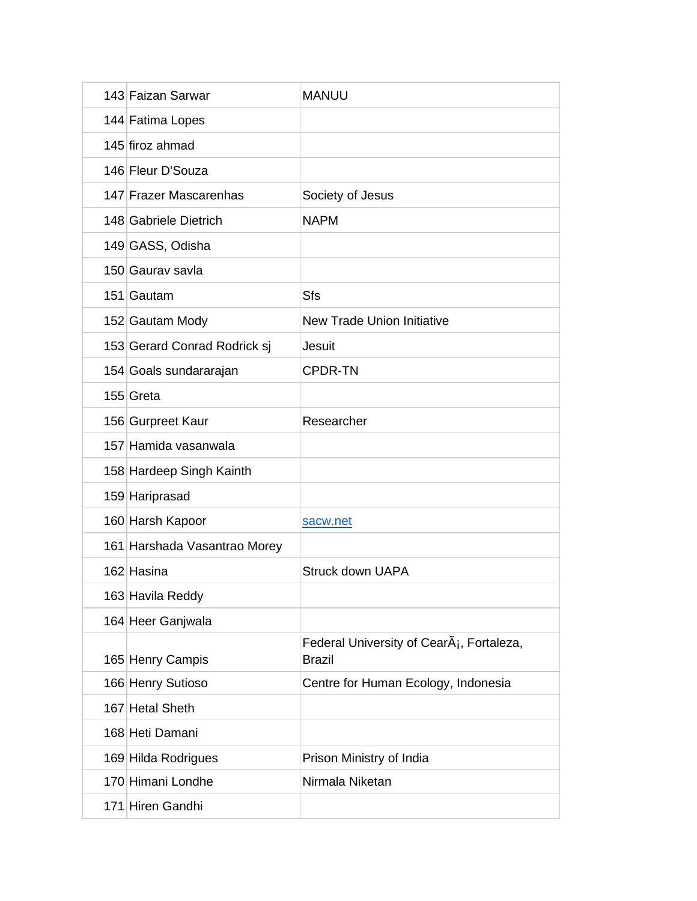| 143 Faizan Sarwar            | <b>MANUU</b>                                                           |
|------------------------------|------------------------------------------------------------------------|
| 144 Fatima Lopes             |                                                                        |
| 145 firoz ahmad              |                                                                        |
| 146 Fleur D'Souza            |                                                                        |
| 147 Frazer Mascarenhas       | Society of Jesus                                                       |
| 148 Gabriele Dietrich        | <b>NAPM</b>                                                            |
| 149 GASS, Odisha             |                                                                        |
| 150 Gaurav savla             |                                                                        |
| 151 Gautam                   | Sfs                                                                    |
| 152 Gautam Mody              | <b>New Trade Union Initiative</b>                                      |
| 153 Gerard Conrad Rodrick sj | Jesuit                                                                 |
| 154 Goals sundararajan       | <b>CPDR-TN</b>                                                         |
| 155 Greta                    |                                                                        |
| 156 Gurpreet Kaur            | Researcher                                                             |
| 157 Hamida vasanwala         |                                                                        |
| 158 Hardeep Singh Kainth     |                                                                        |
| 159 Hariprasad               |                                                                        |
| 160 Harsh Kapoor             | sacw.net                                                               |
| 161 Harshada Vasantrao Morey |                                                                        |
| 162 Hasina                   | <b>Struck down UAPA</b>                                                |
| 163 Havila Reddy             |                                                                        |
| 164 Heer Ganjwala            |                                                                        |
| 165 Henry Campis             | Federal University of CearÂ <sub>i</sub> , Fortaleza,<br><b>Brazil</b> |
| 166 Henry Sutioso            | Centre for Human Ecology, Indonesia                                    |
| 167 Hetal Sheth              |                                                                        |
| 168 Heti Damani              |                                                                        |
| 169 Hilda Rodrigues          | Prison Ministry of India                                               |
| 170 Himani Londhe            | Nirmala Niketan                                                        |
| 171 Hiren Gandhi             |                                                                        |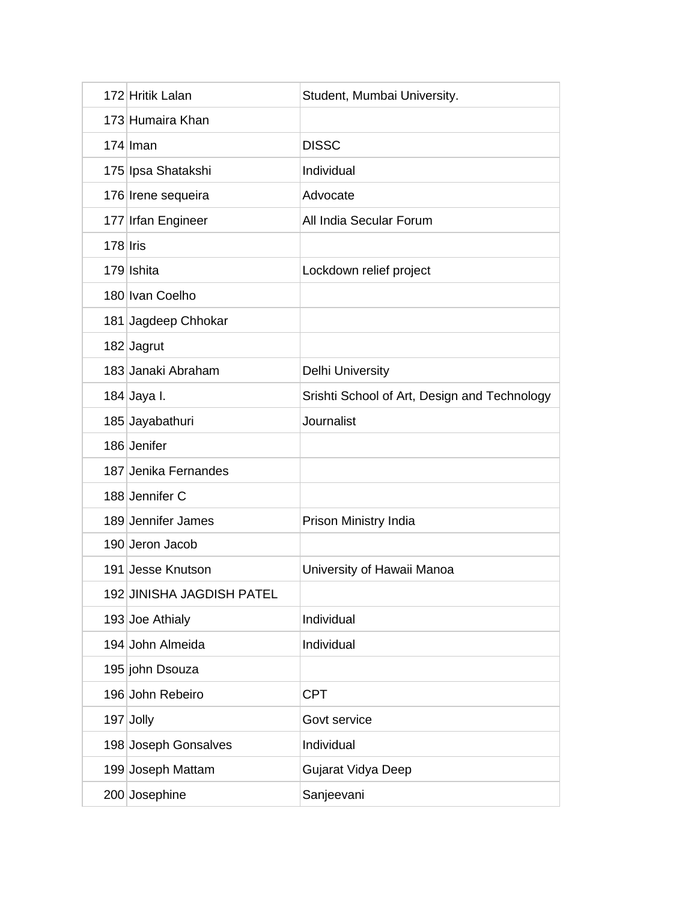|            | 172 Hritik Lalan          | Student, Mumbai University.                  |
|------------|---------------------------|----------------------------------------------|
|            | 173 Humaira Khan          |                                              |
|            | $174$ Iman                | <b>DISSC</b>                                 |
|            | 175 Ipsa Shatakshi        | Individual                                   |
|            | 176 Irene sequeira        | Advocate                                     |
|            | 177 Irfan Engineer        | All India Secular Forum                      |
| $178$ Iris |                           |                                              |
|            | 179 Ishita                | Lockdown relief project                      |
|            | 180 Ivan Coelho           |                                              |
|            | 181 Jagdeep Chhokar       |                                              |
|            | 182 Jagrut                |                                              |
|            | 183 Janaki Abraham        | <b>Delhi University</b>                      |
|            | 184 Jaya I.               | Srishti School of Art, Design and Technology |
|            | 185 Jayabathuri           | Journalist                                   |
|            | 186 Jenifer               |                                              |
|            | 187 Jenika Fernandes      |                                              |
|            | 188 Jennifer C            |                                              |
|            | 189 Jennifer James        | Prison Ministry India                        |
|            | 190 Jeron Jacob           |                                              |
|            | 191 Jesse Knutson         | University of Hawaii Manoa                   |
|            | 192 JINISHA JAGDISH PATEL |                                              |
|            | 193 Joe Athialy           | Individual                                   |
|            | 194 John Almeida          | Individual                                   |
|            | 195 john Dsouza           |                                              |
|            | 196 John Rebeiro          | <b>CPT</b>                                   |
|            | 197 Jolly                 | Govt service                                 |
|            | 198 Joseph Gonsalves      | Individual                                   |
|            | 199 Joseph Mattam         | Gujarat Vidya Deep                           |
|            | 200 Josephine             | Sanjeevani                                   |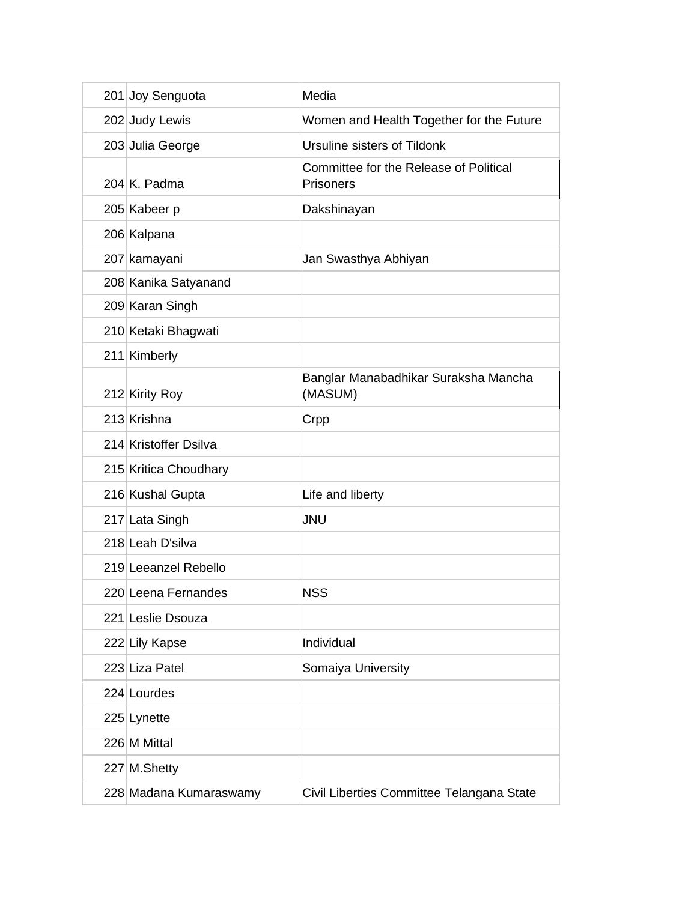| 201 Joy Senguota       | Media                                                      |
|------------------------|------------------------------------------------------------|
| 202 Judy Lewis         | Women and Health Together for the Future                   |
| 203 Julia George       | Ursuline sisters of Tildonk                                |
| 204 K. Padma           | Committee for the Release of Political<br><b>Prisoners</b> |
| 205 Kabeer p           | Dakshinayan                                                |
| 206 Kalpana            |                                                            |
| 207 kamayani           | Jan Swasthya Abhiyan                                       |
| 208 Kanika Satyanand   |                                                            |
| 209 Karan Singh        |                                                            |
| 210 Ketaki Bhagwati    |                                                            |
| 211 Kimberly           |                                                            |
| 212 Kirity Roy         | Banglar Manabadhikar Suraksha Mancha<br>(MASUM)            |
| 213 Krishna            | Crpp                                                       |
| 214 Kristoffer Dsilva  |                                                            |
| 215 Kritica Choudhary  |                                                            |
| 216 Kushal Gupta       | Life and liberty                                           |
| 217 Lata Singh         | <b>JNU</b>                                                 |
| 218 Leah D'silva       |                                                            |
| 219 Leeanzel Rebello   |                                                            |
| 220 Leena Fernandes    | <b>NSS</b>                                                 |
| 221 Leslie Dsouza      |                                                            |
| 222 Lily Kapse         | Individual                                                 |
| 223 Liza Patel         | Somaiya University                                         |
| 224 Lourdes            |                                                            |
| 225 Lynette            |                                                            |
| 226 M Mittal           |                                                            |
| 227 M. Shetty          |                                                            |
| 228 Madana Kumaraswamy | Civil Liberties Committee Telangana State                  |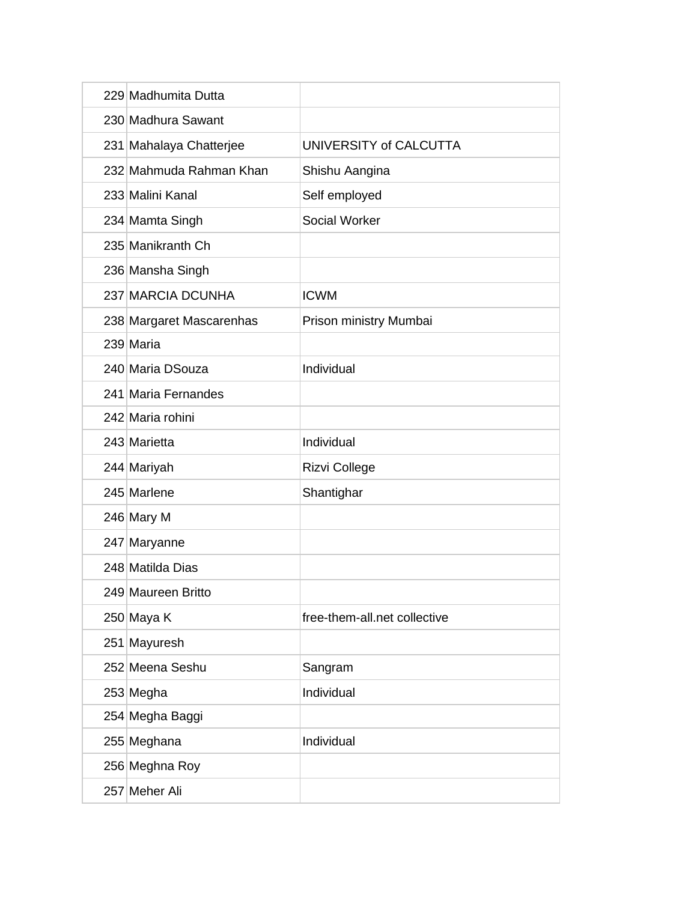|  | 229 Madhumita Dutta      |                              |
|--|--------------------------|------------------------------|
|  | 230 Madhura Sawant       |                              |
|  | 231 Mahalaya Chatterjee  | UNIVERSITY of CALCUTTA       |
|  | 232 Mahmuda Rahman Khan  | Shishu Aangina               |
|  | 233 Malini Kanal         | Self employed                |
|  | 234 Mamta Singh          | Social Worker                |
|  | 235 Manikranth Ch        |                              |
|  | 236 Mansha Singh         |                              |
|  | 237 MARCIA DCUNHA        | <b>ICWM</b>                  |
|  | 238 Margaret Mascarenhas | Prison ministry Mumbai       |
|  | 239 Maria                |                              |
|  | 240 Maria DSouza         | Individual                   |
|  | 241 Maria Fernandes      |                              |
|  | 242 Maria rohini         |                              |
|  | 243 Marietta             | Individual                   |
|  | 244 Mariyah              | Rizvi College                |
|  | 245 Marlene              | Shantighar                   |
|  | 246 Mary M               |                              |
|  | 247 Maryanne             |                              |
|  | 248 Matilda Dias         |                              |
|  | 249 Maureen Britto       |                              |
|  | 250 Maya K               | free-them-all.net collective |
|  | 251 Mayuresh             |                              |
|  | 252 Meena Seshu          | Sangram                      |
|  | 253 Megha                | Individual                   |
|  | 254 Megha Baggi          |                              |
|  | 255 Meghana              | Individual                   |
|  | 256 Meghna Roy           |                              |
|  | 257 Meher Ali            |                              |
|  |                          |                              |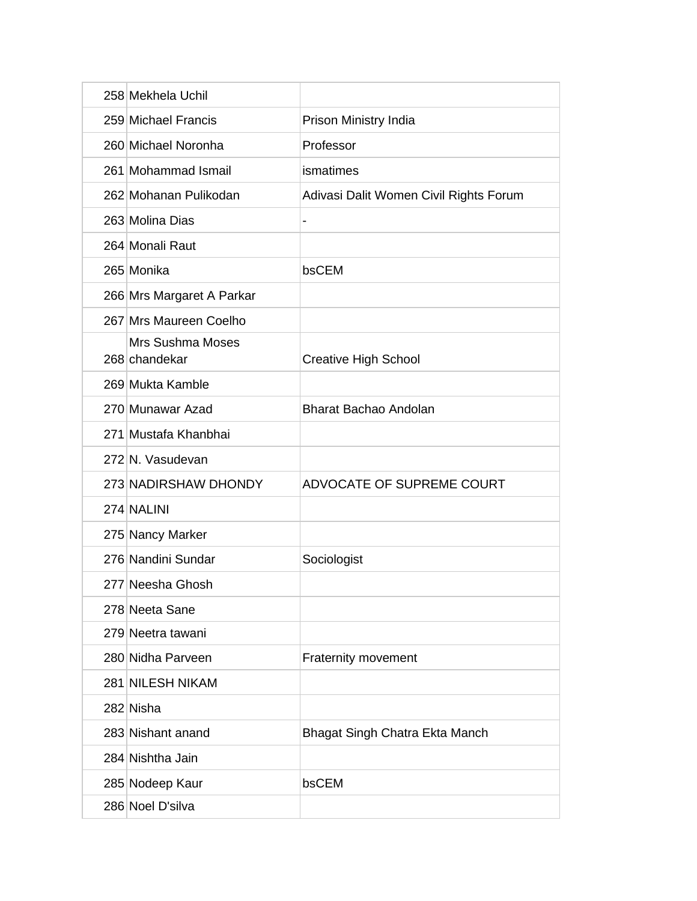| 258 Mekhela Uchil                        |                                        |
|------------------------------------------|----------------------------------------|
| 259 Michael Francis                      | Prison Ministry India                  |
| 260 Michael Noronha                      | Professor                              |
| 261 Mohammad Ismail                      | ismatimes                              |
| 262 Mohanan Pulikodan                    | Adivasi Dalit Women Civil Rights Forum |
| 263 Molina Dias                          |                                        |
| 264 Monali Raut                          |                                        |
| 265 Monika                               | bsCEM                                  |
| 266 Mrs Margaret A Parkar                |                                        |
| 267 Mrs Maureen Coelho                   |                                        |
| <b>Mrs Sushma Moses</b><br>268 chandekar | <b>Creative High School</b>            |
| 269 Mukta Kamble                         |                                        |
| 270 Munawar Azad                         | <b>Bharat Bachao Andolan</b>           |
| 271 Mustafa Khanbhai                     |                                        |
| 272 N. Vasudevan                         |                                        |
| 273 NADIRSHAW DHONDY                     | ADVOCATE OF SUPREME COURT              |
| 274 NALINI                               |                                        |
| 275 Nancy Marker                         |                                        |
| 276 Nandini Sundar                       | Sociologist                            |
| 277 Neesha Ghosh                         |                                        |
| 278 Neeta Sane                           |                                        |
| 279 Neetra tawani                        |                                        |
| 280 Nidha Parveen                        | <b>Fraternity movement</b>             |
| 281 NILESH NIKAM                         |                                        |
| 282 Nisha                                |                                        |
| 283 Nishant anand                        | Bhagat Singh Chatra Ekta Manch         |
| 284 Nishtha Jain                         |                                        |
| 285 Nodeep Kaur                          | bsCEM                                  |
| 286 Noel D'silva                         |                                        |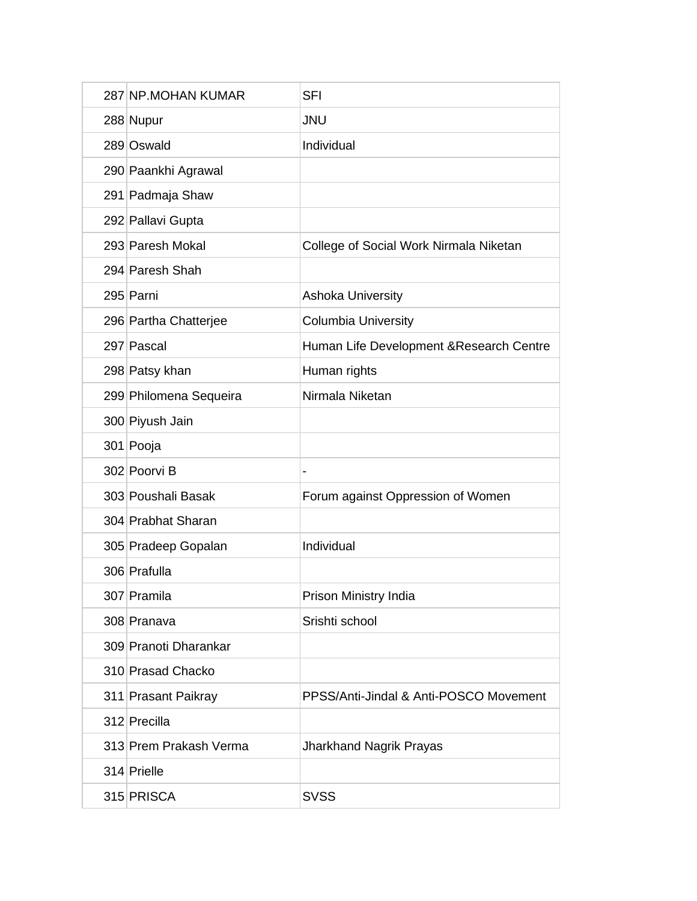| 287 NP.MOHAN KUMAR     | <b>SFI</b>                               |
|------------------------|------------------------------------------|
| 288 Nupur              | <b>JNU</b>                               |
| 289 Oswald             | Individual                               |
| 290 Paankhi Agrawal    |                                          |
| 291 Padmaja Shaw       |                                          |
| 292 Pallavi Gupta      |                                          |
| 293 Paresh Mokal       | College of Social Work Nirmala Niketan   |
| 294 Paresh Shah        |                                          |
| 295 Parni              | <b>Ashoka University</b>                 |
| 296 Partha Chatterjee  | <b>Columbia University</b>               |
| 297 Pascal             | Human Life Development & Research Centre |
| 298 Patsy khan         | Human rights                             |
| 299 Philomena Sequeira | Nirmala Niketan                          |
| 300 Piyush Jain        |                                          |
| 301 Pooja              |                                          |
| 302 Poorvi B           |                                          |
| 303 Poushali Basak     | Forum against Oppression of Women        |
| 304 Prabhat Sharan     |                                          |
| 305 Pradeep Gopalan    | Individual                               |
| 306 Prafulla           |                                          |
| 307 Pramila            | Prison Ministry India                    |
| 308 Pranava            | Srishti school                           |
| 309 Pranoti Dharankar  |                                          |
| 310 Prasad Chacko      |                                          |
| 311 Prasant Paikray    | PPSS/Anti-Jindal & Anti-POSCO Movement   |
| 312 Precilla           |                                          |
| 313 Prem Prakash Verma | <b>Jharkhand Nagrik Prayas</b>           |
| 314 Prielle            |                                          |
| 315 PRISCA             | <b>SVSS</b>                              |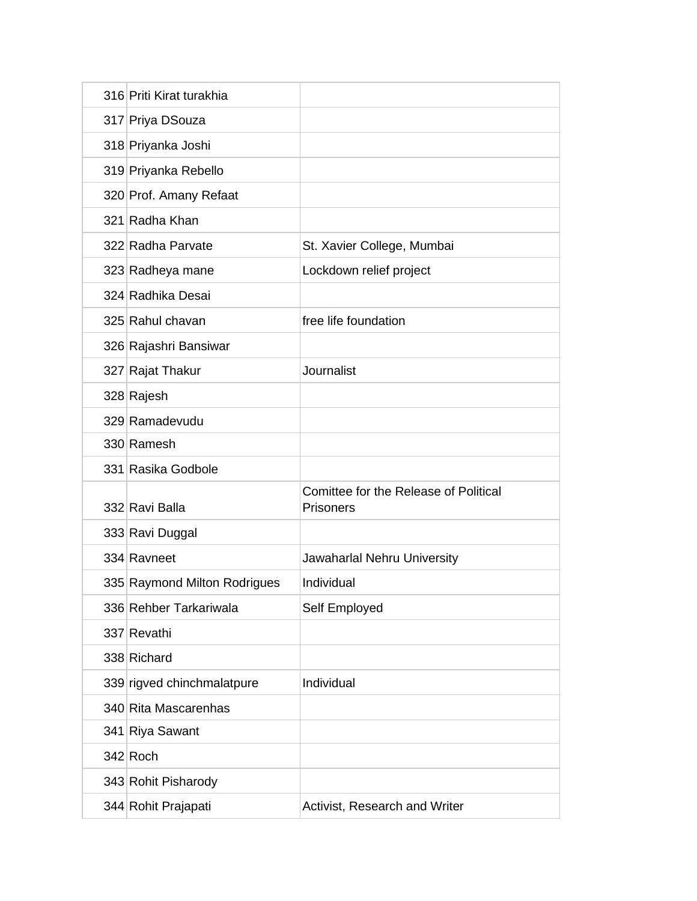| 316 Priti Kirat turakhia     |                                                    |
|------------------------------|----------------------------------------------------|
| 317 Priya DSouza             |                                                    |
| 318 Priyanka Joshi           |                                                    |
| 319 Priyanka Rebello         |                                                    |
| 320 Prof. Amany Refaat       |                                                    |
| 321 Radha Khan               |                                                    |
| 322 Radha Parvate            | St. Xavier College, Mumbai                         |
| 323 Radheya mane             | Lockdown relief project                            |
| 324 Radhika Desai            |                                                    |
| 325 Rahul chavan             | free life foundation                               |
| 326 Rajashri Bansiwar        |                                                    |
| 327 Rajat Thakur             | Journalist                                         |
| 328 Rajesh                   |                                                    |
| 329 Ramadevudu               |                                                    |
| 330 Ramesh                   |                                                    |
| 331 Rasika Godbole           |                                                    |
| 332 Ravi Balla               | Comittee for the Release of Political<br>Prisoners |
| 333 Ravi Duggal              |                                                    |
| 334 Ravneet                  | Jawaharlal Nehru University                        |
| 335 Raymond Milton Rodrigues | Individual                                         |
| 336 Rehber Tarkariwala       | Self Employed                                      |
| 337 Revathi                  |                                                    |
| 338 Richard                  |                                                    |
| 339 rigved chinchmalatpure   | Individual                                         |
|                              |                                                    |
| 340 Rita Mascarenhas         |                                                    |
| 341 Riya Sawant              |                                                    |
| $342$ Roch                   |                                                    |
| 343 Rohit Pisharody          |                                                    |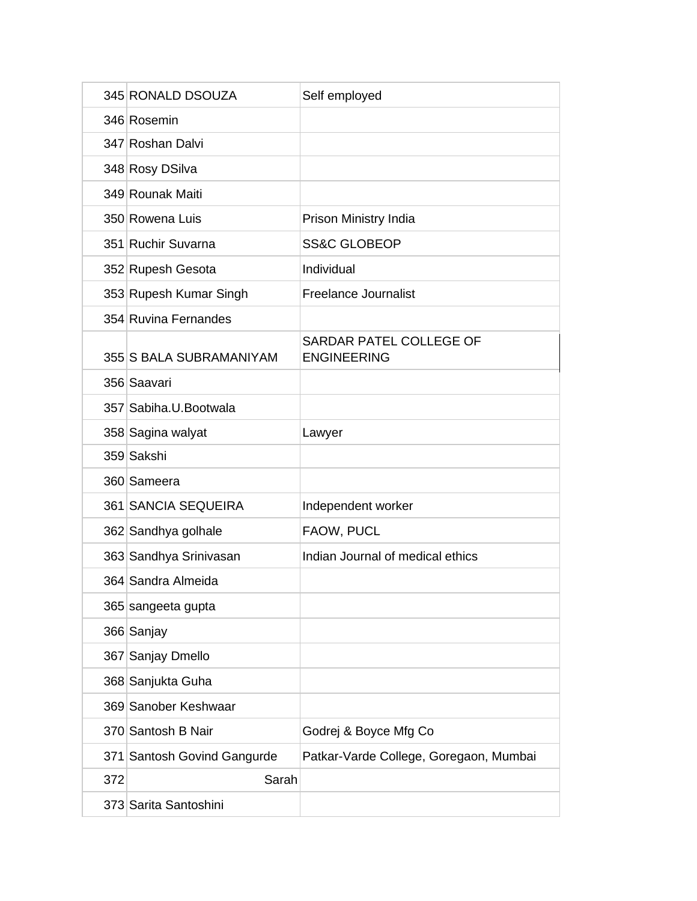|     | 345 RONALD DSOUZA           | Self employed                                 |
|-----|-----------------------------|-----------------------------------------------|
|     | 346 Rosemin                 |                                               |
|     | 347 Roshan Dalvi            |                                               |
|     | 348 Rosy DSilva             |                                               |
|     | 349 Rounak Maiti            |                                               |
|     | 350 Rowena Luis             | Prison Ministry India                         |
|     | 351 Ruchir Suvarna          | <b>SS&amp;C GLOBEOP</b>                       |
|     | 352 Rupesh Gesota           | Individual                                    |
|     | 353 Rupesh Kumar Singh      | <b>Freelance Journalist</b>                   |
|     | 354 Ruvina Fernandes        |                                               |
|     | 355 S BALA SUBRAMANIYAM     | SARDAR PATEL COLLEGE OF<br><b>ENGINEERING</b> |
|     | 356 Saavari                 |                                               |
|     | 357 Sabiha.U.Bootwala       |                                               |
|     | 358 Sagina walyat           | Lawyer                                        |
|     | 359 Sakshi                  |                                               |
|     | 360 Sameera                 |                                               |
|     | 361 SANCIA SEQUEIRA         | Independent worker                            |
|     | 362 Sandhya golhale         | FAOW, PUCL                                    |
|     | 363 Sandhya Srinivasan      | Indian Journal of medical ethics              |
|     | 364 Sandra Almeida          |                                               |
|     | 365 sangeeta gupta          |                                               |
|     | 366 Sanjay                  |                                               |
|     | 367 Sanjay Dmello           |                                               |
|     | 368 Sanjukta Guha           |                                               |
|     | 369 Sanober Keshwaar        |                                               |
|     | 370 Santosh B Nair          | Godrej & Boyce Mfg Co                         |
|     | 371 Santosh Govind Gangurde | Patkar-Varde College, Goregaon, Mumbai        |
| 372 | Sarah                       |                                               |
|     | 373 Sarita Santoshini       |                                               |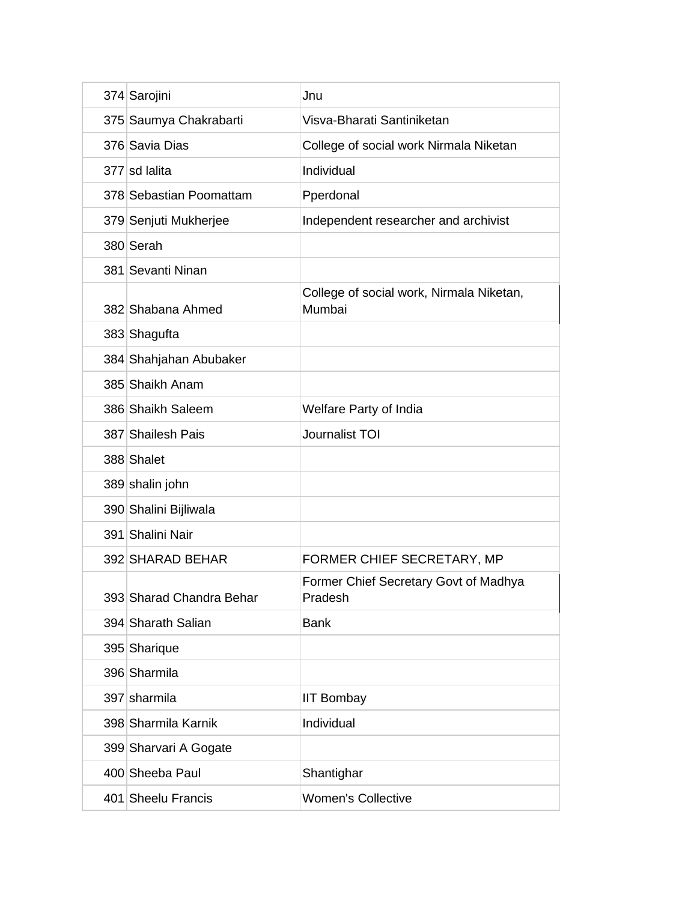| 374 Sarojini             | Jnu                                                |
|--------------------------|----------------------------------------------------|
| 375 Saumya Chakrabarti   | Visva-Bharati Santiniketan                         |
| 376 Savia Dias           | College of social work Nirmala Niketan             |
| 377 sd lalita            | Individual                                         |
| 378 Sebastian Poomattam  | Pperdonal                                          |
| 379 Senjuti Mukherjee    | Independent researcher and archivist               |
| 380 Serah                |                                                    |
| 381 Sevanti Ninan        |                                                    |
| 382 Shabana Ahmed        | College of social work, Nirmala Niketan,<br>Mumbai |
| 383 Shagufta             |                                                    |
| 384 Shahjahan Abubaker   |                                                    |
| 385 Shaikh Anam          |                                                    |
| 386 Shaikh Saleem        | Welfare Party of India                             |
| 387 Shailesh Pais        | Journalist TOI                                     |
| 388 Shalet               |                                                    |
| 389 shalin john          |                                                    |
| 390 Shalini Bijliwala    |                                                    |
| 391 Shalini Nair         |                                                    |
| 392 SHARAD BEHAR         | FORMER CHIEF SECRETARY, MP                         |
| 393 Sharad Chandra Behar | Former Chief Secretary Govt of Madhya<br>Pradesh   |
| 394 Sharath Salian       | <b>Bank</b>                                        |
| 395 Sharique             |                                                    |
| 396 Sharmila             |                                                    |
| 397 sharmila             | <b>IIT Bombay</b>                                  |
| 398 Sharmila Karnik      | Individual                                         |
| 399 Sharvari A Gogate    |                                                    |
| 400 Sheeba Paul          | Shantighar                                         |
| 401 Sheelu Francis       | <b>Women's Collective</b>                          |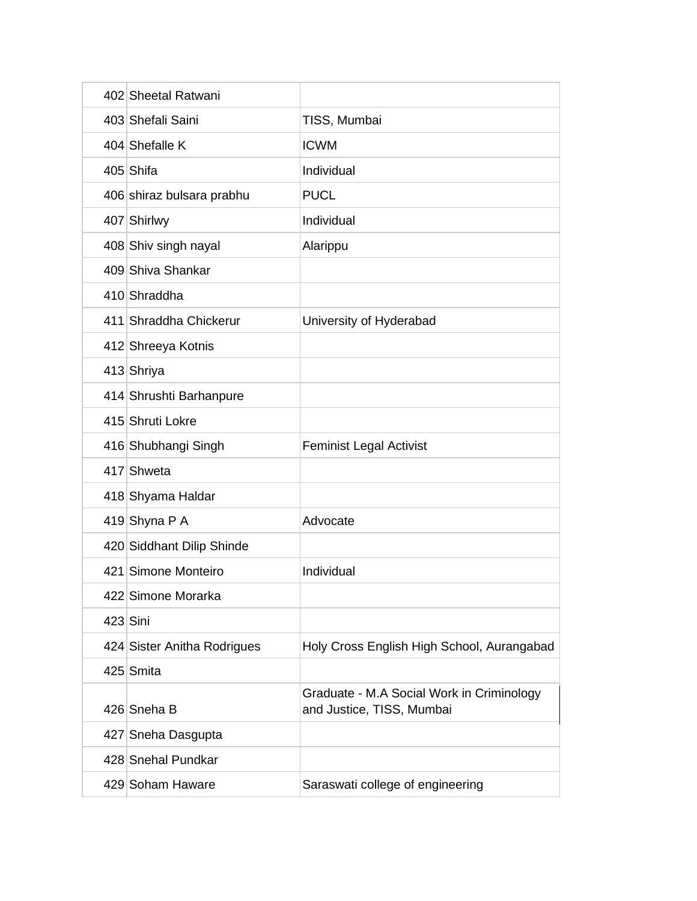| 402 Sheetal Ratwani         |                                                                        |
|-----------------------------|------------------------------------------------------------------------|
| 403 Shefali Saini           | TISS, Mumbai                                                           |
| 404 Shefalle K              | <b>ICWM</b>                                                            |
| 405 Shifa                   | Individual                                                             |
| 406 shiraz bulsara prabhu   | <b>PUCL</b>                                                            |
| 407 Shirlwy                 | Individual                                                             |
| 408 Shiv singh nayal        | Alarippu                                                               |
| 409 Shiva Shankar           |                                                                        |
| 410 Shraddha                |                                                                        |
| 411 Shraddha Chickerur      | University of Hyderabad                                                |
| 412 Shreeya Kotnis          |                                                                        |
| 413 Shriya                  |                                                                        |
| 414 Shrushti Barhanpure     |                                                                        |
| 415 Shruti Lokre            |                                                                        |
| 416 Shubhangi Singh         | <b>Feminist Legal Activist</b>                                         |
| 417 Shweta                  |                                                                        |
| 418 Shyama Haldar           |                                                                        |
| 419 Shyna P A               | Advocate                                                               |
| 420 Siddhant Dilip Shinde   |                                                                        |
| 421 Simone Monteiro         | Individual                                                             |
| 422 Simone Morarka          |                                                                        |
| $423$ Sini                  |                                                                        |
| 424 Sister Anitha Rodrigues | Holy Cross English High School, Aurangabad                             |
| 425 Smita                   |                                                                        |
| 426 Sneha B                 | Graduate - M.A Social Work in Criminology<br>and Justice, TISS, Mumbai |
| 427 Sneha Dasgupta          |                                                                        |
| 428 Snehal Pundkar          |                                                                        |
| 429 Soham Haware            | Saraswati college of engineering                                       |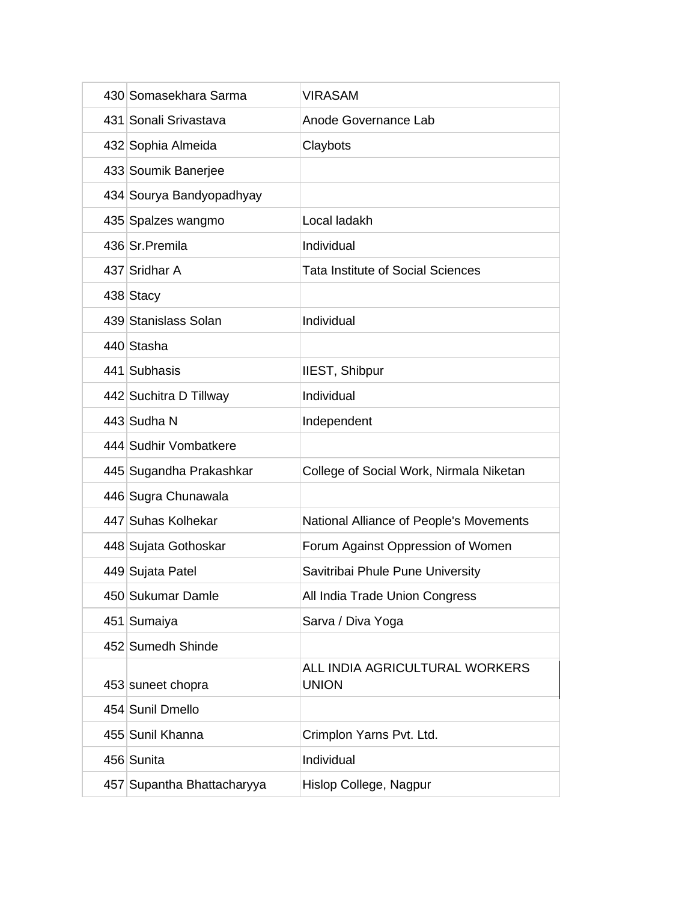| 430 Somasekhara Sarma      | <b>VIRASAM</b>                                 |
|----------------------------|------------------------------------------------|
| 431 Sonali Srivastava      | Anode Governance Lab                           |
| 432 Sophia Almeida         | Claybots                                       |
| 433 Soumik Banerjee        |                                                |
| 434 Sourya Bandyopadhyay   |                                                |
| 435 Spalzes wangmo         | Local ladakh                                   |
| 436 Sr. Premila            | Individual                                     |
| 437 Sridhar A              | <b>Tata Institute of Social Sciences</b>       |
| 438 Stacy                  |                                                |
| 439 Stanislass Solan       | Individual                                     |
| 440 Stasha                 |                                                |
| 441 Subhasis               | IIEST, Shibpur                                 |
| 442 Suchitra D Tillway     | Individual                                     |
| 443 Sudha N                | Independent                                    |
| 444 Sudhir Vombatkere      |                                                |
| 445 Sugandha Prakashkar    | College of Social Work, Nirmala Niketan        |
| 446 Sugra Chunawala        |                                                |
| 447 Suhas Kolhekar         | National Alliance of People's Movements        |
| 448 Sujata Gothoskar       | Forum Against Oppression of Women              |
| 449 Sujata Patel           | Savitribai Phule Pune University               |
| 450 Sukumar Damle          | All India Trade Union Congress                 |
| 451 Sumaiya                | Sarva / Diva Yoga                              |
| 452 Sumedh Shinde          |                                                |
| 453 suneet chopra          | ALL INDIA AGRICULTURAL WORKERS<br><b>UNION</b> |
| 454 Sunil Dmello           |                                                |
| 455 Sunil Khanna           | Crimplon Yarns Pvt. Ltd.                       |
| 456 Sunita                 | Individual                                     |
| 457 Supantha Bhattacharyya | Hislop College, Nagpur                         |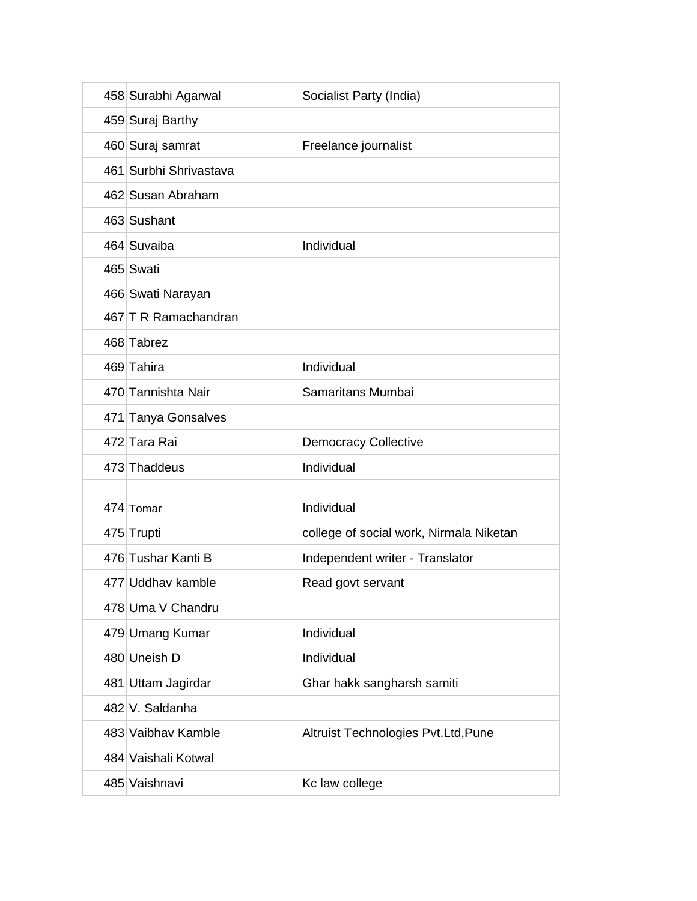| 458 Surabhi Agarwal    | Socialist Party (India)                 |
|------------------------|-----------------------------------------|
| 459 Suraj Barthy       |                                         |
| 460 Suraj samrat       | Freelance journalist                    |
| 461 Surbhi Shrivastava |                                         |
| 462 Susan Abraham      |                                         |
| 463 Sushant            |                                         |
| 464 Suvaiba            | Individual                              |
| 465 Swati              |                                         |
| 466 Swati Narayan      |                                         |
| 467 T R Ramachandran   |                                         |
| 468 Tabrez             |                                         |
| 469 Tahira             | Individual                              |
| 470 Tannishta Nair     | Samaritans Mumbai                       |
| 471 Tanya Gonsalves    |                                         |
| 472 Tara Rai           | <b>Democracy Collective</b>             |
| 473 Thaddeus           | Individual                              |
|                        |                                         |
| 474 Tomar              | Individual                              |
| 475 Trupti             | college of social work, Nirmala Niketan |
| 476 Tushar Kanti B     | Independent writer - Translator         |
| 477 Uddhav kamble      | Read govt servant                       |
| 478 Uma V Chandru      |                                         |
| 479 Umang Kumar        | Individual                              |
| 480 Uneish D           | Individual                              |
| 481 Uttam Jagirdar     | Ghar hakk sangharsh samiti              |
| 482 V. Saldanha        |                                         |
| 483 Vaibhay Kamble     | Altruist Technologies Pvt.Ltd, Pune     |
| 484 Vaishali Kotwal    |                                         |
| 485 Vaishnavi          | Kc law college                          |